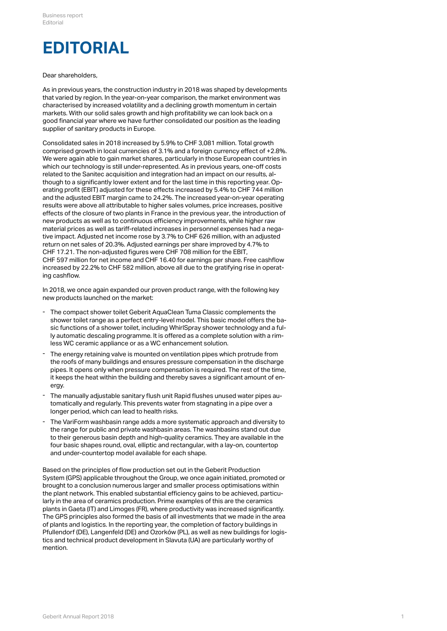## **EDITORIAL**

## Dear shareholders,

As in previous years, the construction industry in 2018 was shaped by developments that varied by region. In the year-on-year comparison, the market environment was characterised by increased volatility and a declining growth momentum in certain markets. With our solid sales growth and high profitability we can look back on a good financial year where we have further consolidated our position as the leading supplier of sanitary products in Europe.

Consolidated sales in 2018 increased by 5.9% to CHF 3,081 million. Total growth comprised growth in local currencies of 3.1% and a foreign currency effect of +2.8%. We were again able to gain market shares, particularly in those European countries in which our technology is still under-represented. As in previous years, one-off costs related to the Sanitec acquisition and integration had an impact on our results, although to a significantly lower extent and for the last time in this reporting year. Operating profit (EBIT) adjusted for these effects increased by 5.4% to CHF 744 million and the adjusted EBIT margin came to 24.2%. The increased year-on-year operating results were above all attributable to higher sales volumes, price increases, positive effects of the closure of two plants in France in the previous year, the introduction of new products as well as to continuous efficiency improvements, while higher raw material prices as well as tariff-related increases in personnel expenses had a negative impact. Adjusted net income rose by 3.7% to CHF 626 million, with an adjusted return on net sales of 20.3%. Adjusted earnings per share improved by 4.7% to CHF 17.21. The non-adjusted figures were CHF 708 million for the EBIT, CHF 597 million for net income and CHF 16.40 for earnings per share. Free cashflow increased by 22.2% to CHF 582 million, above all due to the gratifying rise in operating cashflow.

In 2018, we once again expanded our proven product range, with the following key new products launched on the market:

- The compact shower toilet Geberit AquaClean Tuma Classic complements the shower toilet range as a perfect entry-level model. This basic model offers the basic functions of a shower toilet, including WhirlSpray shower technology and a fully automatic descaling programme. It is offered as a complete solution with a rim-- The compact shower toilet Geberit AquaClean Tuma Classic complements the shower toilet range as a perfect entry-level model. This basic model offers the sic functions of a shower toilet, including WhirlSpray shower techn
- The energy retaining valve is mounted on ventilation pipes which protrude from the roofs of many buildings and ensures pressure compensation in the discharge pipes. It opens only when pressure compensation is required. The rest of the time, it keeps the heat within the building and thereby saves a significant amount of en-- The energy retaining valve<br>the roofs of many building<br>pipes. It opens only when<br>it keeps the heat within the<br>ergy.
- The manually adjustable sanitary flush unit Rapid flushes unused water pipes automatically and regularly. This prevents water from stagnating in a pipe over a - The manually adjustable sanitary flush unit Rapid flushes unu<br>tomatically and regularly. This prevents water from stagnatin<br>longer period, which can lead to health risks.
- The VariForm washbasin range adds a more systematic approach and diversity to the range for public and private washbasin areas. The washbasins stand out due to their generous basin depth and high-quality ceramics. They are available in the four basic shapes round, oval, elliptic and rectangular, with a lay-on, countertop - The VariForm washbasin range adds a more systematic approach and<br>the range for public and private washbasin areas. The washbasins stan<br>to their generous basin depth and high-quality ceramics. They are avai<br>four basic sha

Based on the principles of flow production set out in the Geberit Production System (GPS) applicable throughout the Group, we once again initiated, promoted or brought to a conclusion numerous larger and smaller process optimisations within the plant network. This enabled substantial efficiency gains to be achieved, particularly in the area of ceramics production. Prime examples of this are the ceramics plants in Gaeta (IT) and Limoges (FR), where productivity was increased significantly. The GPS principles also formed the basis of all investments that we made in the area of plants and logistics. In the reporting year, the completion of factory buildings in Pfullendorf (DE), Langenfeld (DE) and Ozorków (PL), as well as new buildings for logistics and technical product development in Slavuta (UA) are particularly worthy of mention.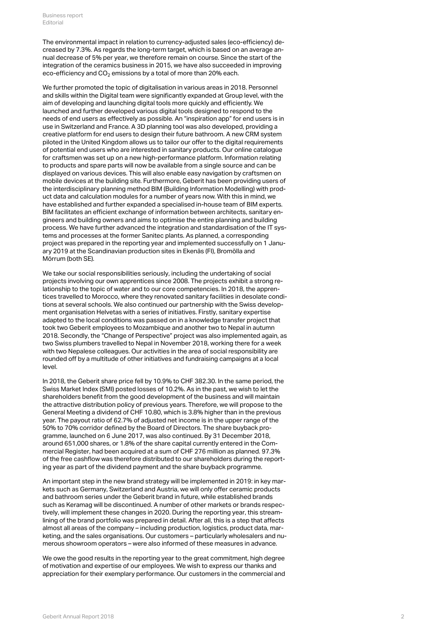The environmental impact in relation to currency-adjusted sales (eco-efficiency) decreased by 7.3%. As regards the long-term target, which is based on an average annual decrease of 5% per year, we therefore remain on course. Since the start of the integration of the ceramics business in 2015, we have also succeeded in improving eco-efficiency and CO $_2$  emissions by a total of more than 20% each.

We further promoted the topic of digitalisation in various areas in 2018. Personnel and skills within the Digital team were significantly expanded at Group level, with the aim of developing and launching digital tools more quickly and efficiently. We launched and further developed various digital tools designed to respond to the needs of end users as effectively as possible. An "inspiration app" for end users is in use in Switzerland and France. A 3D planning tool was also developed, providing a creative platform for end users to design their future bathroom. A new CRM system piloted in the United Kingdom allows us to tailor our offer to the digital requirements of potential end users who are interested in sanitary products. Our online catalogue for craftsmen was set up on a new high-performance platform. Information relating to products and spare parts will now be available from a single source and can be displayed on various devices. This will also enable easy navigation by craftsmen on mobile devices at the building site. Furthermore, Geberit has been providing users of the interdisciplinary planning method BIM (Building Information Modelling) with product data and calculation modules for a number of years now. With this in mind, we have established and further expanded a specialised in-house team of BIM experts. BIM facilitates an efficient exchange of information between architects, sanitary engineers and building owners and aims to optimise the entire planning and building process. We have further advanced the integration and standardisation of the IT systems and processes at the former Sanitec plants. As planned, a corresponding project was prepared in the reporting year and implemented successfully on 1 January 2019 at the Scandinavian production sites in Ekenäs (FI), Bromölla and Mörrum (both SE).

We take our social responsibilities seriously, including the undertaking of social projects involving our own apprentices since 2008. The projects exhibit a strong relationship to the topic of water and to our core competencies. In 2018, the apprentices travelled to Morocco, where they renovated sanitary facilities in desolate conditions at several schools. We also continued our partnership with the Swiss development organisation Helvetas with a series of initiatives. Firstly, sanitary expertise adapted to the local conditions was passed on in a knowledge transfer project that took two Geberit employees to Mozambique and another two to Nepal in autumn 2018. Secondly, the "Change of Perspective" project was also implemented again, as two Swiss plumbers travelled to Nepal in November 2018, working there for a week with two Nepalese colleagues. Our activities in the area of social responsibility are rounded off by a multitude of other initiatives and fundraising campaigns at a local level.

In 2018, the Geberit share price fell by 10.9% to CHF 382.30. In the same period, the Swiss Market Index (SMI) posted losses of 10.2%. As in the past, we wish to let the shareholders benefit from the good development of the business and will maintain the attractive distribution policy of previous years. Therefore, we will propose to the General Meeting a dividend of CHF 10.80, which is 3.8% higher than in the previous year. The payout ratio of 62.7% of adjusted net income is in the upper range of the 50% to 70% corridor defined by the Board of Directors. The share buyback programme, launched on 6 June 2017, was also continued. By 31 December 2018, around 651,000 shares, or 1.8% of the share capital currently entered in the Commercial Register, had been acquired at a sum of CHF 276 million as planned. 97.3% of the free cashflow was therefore distributed to our shareholders during the reporting year as part of the dividend payment and the share buyback programme.

An important step in the new brand strategy will be implemented in 2019: in key markets such as Germany, Switzerland and Austria, we will only offer ceramic products and bathroom series under the Geberit brand in future, while established brands such as Keramag will be discontinued. A number of other markets or brands respectively, will implement these changes in 2020. During the reporting year, this streamlining of the brand portfolio was prepared in detail. After all, this is a step that affects almost all areas of the company – including production, logistics, product data, marketing, and the sales organisations. Our customers – particularly wholesalers and numerous showroom operators – were also informed of these measures in advance.

We owe the good results in the reporting year to the great commitment, high degree of motivation and expertise of our employees. We wish to express our thanks and appreciation for their exemplary performance. Our customers in the commercial and